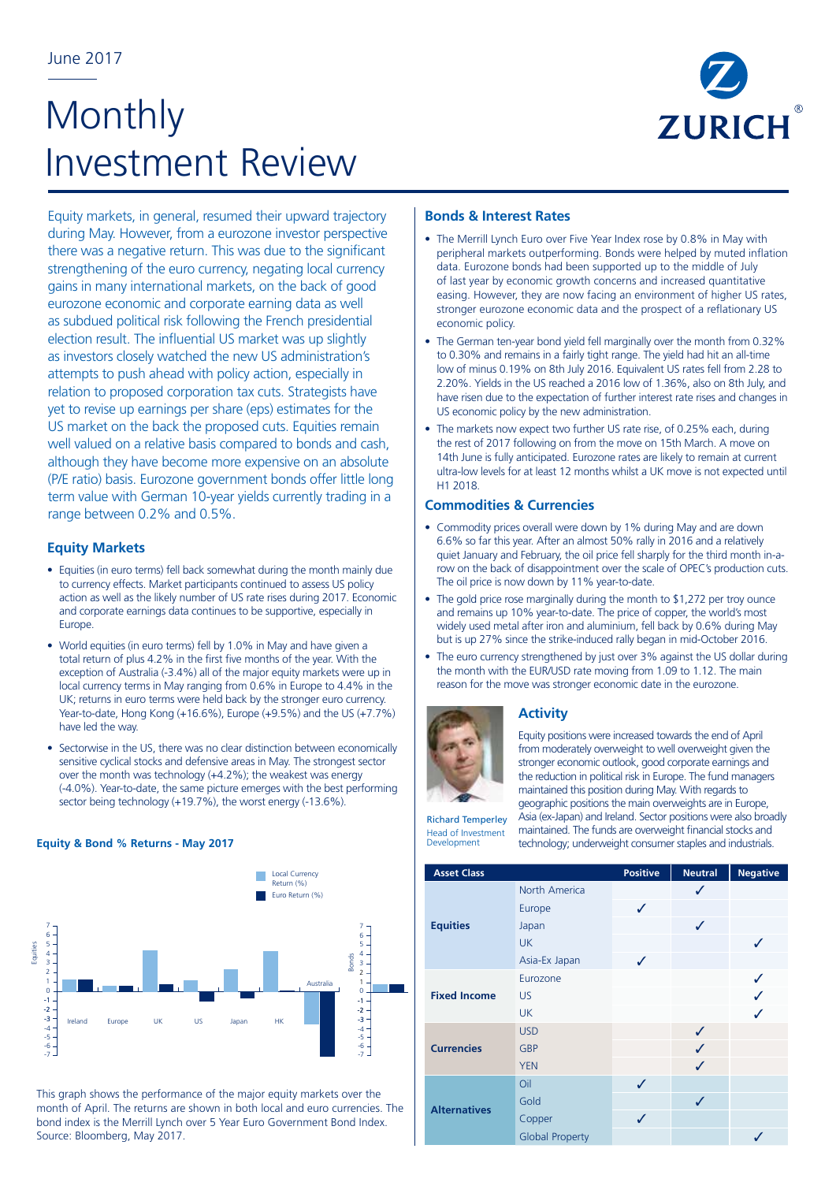# **Monthly** Investment Review



Equity markets, in general, resumed their upward trajectory during May. However, from a eurozone investor perspective there was a negative return. This was due to the significant strengthening of the euro currency, negating local currency gains in many international markets, on the back of good eurozone economic and corporate earning data as well as subdued political risk following the French presidential election result. The influential US market was up slightly as investors closely watched the new US administration's attempts to push ahead with policy action, especially in relation to proposed corporation tax cuts. Strategists have yet to revise up earnings per share (eps) estimates for the US market on the back the proposed cuts. Equities remain well valued on a relative basis compared to bonds and cash, although they have become more expensive on an absolute (P/E ratio) basis. Eurozone government bonds offer little long term value with German 10-year yields currently trading in a range between 0.2% and 0.5%.

# **Equity Markets**

- Equities (in euro terms) fell back somewhat during the month mainly due to currency effects. Market participants continued to assess US policy action as well as the likely number of US rate rises during 2017. Economic and corporate earnings data continues to be supportive, especially in Europe.
- World equities (in euro terms) fell by 1.0% in May and have given a total return of plus 4.2% in the first five months of the year. With the exception of Australia (-3.4%) all of the major equity markets were up in local currency terms in May ranging from 0.6% in Europe to 4.4% in the UK; returns in euro terms were held back by the stronger euro currency. Year-to-date, Hong Kong (+16.6%), Europe (+9.5%) and the US (+7.7%) have led the way.
- Sectorwise in the US, there was no clear distinction between economically sensitive cyclical stocks and defensive areas in May. The strongest sector over the month was technology (+4.2%); the weakest was energy (-4.0%). Year-to-date, the same picture emerges with the best performing sector being technology (+19.7%), the worst energy (-13.6%).

# **Equity & Bond % Returns - May 2017**



This graph shows the performance of the major equity markets over the month of April. The returns are shown in both local and euro currencies. The bond index is the Merrill Lynch over 5 Year Euro Government Bond Index. Source: Bloomberg, May 2017.

# **Bonds & Interest Rates**

- The Merrill Lynch Euro over Five Year Index rose by 0.8% in May with peripheral markets outperforming. Bonds were helped by muted inflation data. Eurozone bonds had been supported up to the middle of July of last year by economic growth concerns and increased quantitative easing. However, they are now facing an environment of higher US rates, stronger eurozone economic data and the prospect of a reflationary US economic policy.
- The German ten-year bond yield fell marginally over the month from 0.32% to 0.30% and remains in a fairly tight range. The yield had hit an all-time low of minus 0.19% on 8th July 2016. Equivalent US rates fell from 2.28 to 2.20%. Yields in the US reached a 2016 low of 1.36%, also on 8th July, and have risen due to the expectation of further interest rate rises and changes in US economic policy by the new administration.
- The markets now expect two further US rate rise, of 0.25% each, during the rest of 2017 following on from the move on 15th March. A move on 14th June is fully anticipated. Eurozone rates are likely to remain at current ultra-low levels for at least 12 months whilst a UK move is not expected until H1 2018.

# **Commodities & Currencies**

- Commodity prices overall were down by 1% during May and are down 6.6% so far this year. After an almost 50% rally in 2016 and a relatively quiet January and February, the oil price fell sharply for the third month in-arow on the back of disappointment over the scale of OPEC's production cuts. The oil price is now down by 11% year-to-date.
- The gold price rose marginally during the month to \$1,272 per troy ounce and remains up 10% year-to-date. The price of copper, the world's most widely used metal after iron and aluminium, fell back by 0.6% during May but is up 27% since the strike-induced rally began in mid-October 2016.
- The euro currency strengthened by just over 3% against the US dollar during the month with the EUR/USD rate moving from 1.09 to 1.12. The main reason for the move was stronger economic date in the eurozone.



# **Activity**

Equity positions were increased towards the end of April from moderately overweight to well overweight given the stronger economic outlook, good corporate earnings and the reduction in political risk in Europe. The fund managers maintained this position during May. With regards to geographic positions the main overweights are in Europe,

Richard Temperley Head of Investment Development

Asia (ex-Japan) and Ireland. Sector positions were also broadly maintained. The funds are overweight financial stocks and technology; underweight consumer staples and industrials.

|  | Development         | technology; underweight consumer staples and industrials. |                 |                |                 |
|--|---------------------|-----------------------------------------------------------|-----------------|----------------|-----------------|
|  | <b>Asset Class</b>  |                                                           | <b>Positive</b> | <b>Neutral</b> | <b>Negative</b> |
|  |                     | North America                                             |                 | ✓              |                 |
|  |                     | Europe                                                    | ✓               |                |                 |
|  | <b>Equities</b>     | Japan                                                     |                 | ✓              |                 |
|  |                     | <b>UK</b>                                                 |                 |                | J               |
|  |                     | Asia-Ex Japan                                             | ✓               |                |                 |
|  | <b>Fixed Income</b> | Eurozone                                                  |                 |                |                 |
|  |                     | <b>US</b>                                                 |                 |                |                 |
|  |                     | <b>UK</b>                                                 |                 |                |                 |
|  |                     | <b>USD</b>                                                |                 | ✓              |                 |
|  | <b>Currencies</b>   | <b>GBP</b>                                                |                 | $\checkmark$   |                 |
|  |                     | <b>YEN</b>                                                |                 | ✓              |                 |
|  |                     | Oil                                                       | ✓               |                |                 |
|  | <b>Alternatives</b> | Gold                                                      |                 | ✓              |                 |
|  |                     | Copper                                                    | ✓               |                |                 |
|  |                     | <b>Global Property</b>                                    |                 |                | $\checkmark$    |
|  |                     |                                                           |                 |                |                 |
|  |                     |                                                           |                 |                |                 |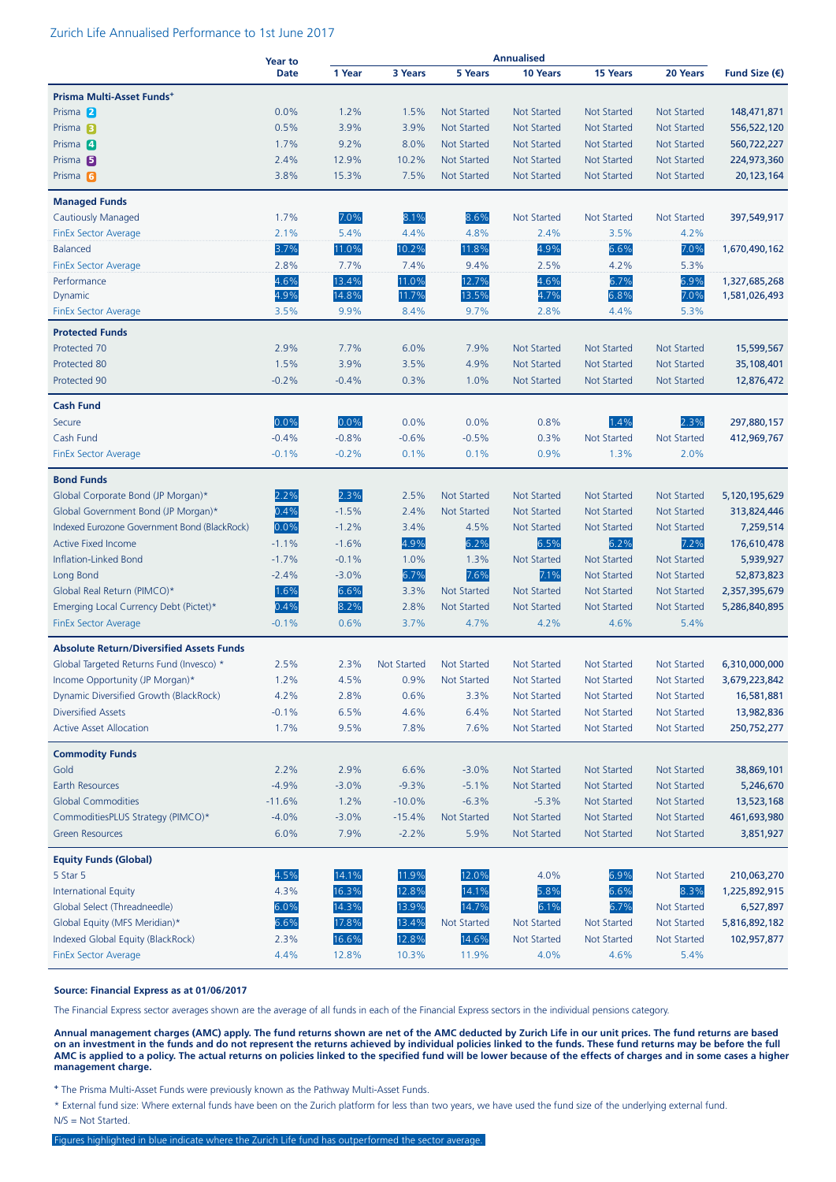#### Zurich Life Annualised Performance to 1st June 2017

|                                                 | Year to     | <b>Annualised</b> |             |                    |                    |                    |                    |                        |
|-------------------------------------------------|-------------|-------------------|-------------|--------------------|--------------------|--------------------|--------------------|------------------------|
|                                                 | <b>Date</b> | 1 Year            | 3 Years     | <b>5 Years</b>     | 10 Years           | 15 Years           | 20 Years           | Fund Size $(\epsilon)$ |
| Prisma Multi-Asset Funds <sup>+</sup>           |             |                   |             |                    |                    |                    |                    |                        |
| Prisma 2                                        | 0.0%        | 1.2%              | 1.5%        | <b>Not Started</b> | <b>Not Started</b> | <b>Not Started</b> | <b>Not Started</b> | 148,471,871            |
| Prisma <sub>B</sub>                             | 0.5%        | 3.9%              | 3.9%        | <b>Not Started</b> | <b>Not Started</b> | <b>Not Started</b> | <b>Not Started</b> | 556,522,120            |
| Prisma <sup>4</sup>                             | 1.7%        | 9.2%              | 8.0%        | <b>Not Started</b> | <b>Not Started</b> | <b>Not Started</b> | Not Started        | 560,722,227            |
| Prisma <sub>5</sub>                             | 2.4%        | 12.9%             | 10.2%       | <b>Not Started</b> | <b>Not Started</b> | <b>Not Started</b> | <b>Not Started</b> | 224,973,360            |
| Prisma <sub>6</sub>                             | 3.8%        | 15.3%             | 7.5%        | <b>Not Started</b> | Not Started        | Not Started        | <b>Not Started</b> | 20, 123, 164           |
| <b>Managed Funds</b>                            |             |                   |             |                    |                    |                    |                    |                        |
| Cautiously Managed                              | 1.7%        | 7.0%              | 8.1%        | 8.6%               | Not Started        | Not Started        | Not Started        | 397,549,917            |
| <b>FinEx Sector Average</b>                     | 2.1%        | 5.4%              | 4.4%        | 4.8%               | 2.4%               | 3.5%               | 4.2%               |                        |
| <b>Balanced</b>                                 | 3.7%        | 11.0%             | 10.2%       | 11.8%              | 4.9%               | 6.6%               | 7.0%               | 1,670,490,162          |
| <b>FinEx Sector Average</b>                     | 2.8%        | 7.7%              | 7.4%        | 9.4%               | 2.5%               | 4.2%               | 5.3%               |                        |
| Performance                                     | 4.6%        | 13.4%             | 11.0%       | 12.7%              | 4.6%               | 6.7%               | 6.9%               | 1,327,685,268          |
| Dynamic                                         | 4.9%        | 14.8%             | 11.7%       | 13.5%              | 4.7%               | 6.8%               | 7.0%               | 1,581,026,493          |
| FinEx Sector Average                            | 3.5%        | 9.9%              | 8.4%        | 9.7%               | 2.8%               | 4.4%               | 5.3%               |                        |
| <b>Protected Funds</b>                          |             |                   |             |                    |                    |                    |                    |                        |
| Protected 70                                    | 2.9%        | 7.7%              | 6.0%        | 7.9%               | <b>Not Started</b> | <b>Not Started</b> | <b>Not Started</b> | 15,599,567             |
| Protected 80                                    | 1.5%        | 3.9%              | 3.5%        | 4.9%               | <b>Not Started</b> | <b>Not Started</b> | <b>Not Started</b> | 35,108,401             |
| Protected 90                                    | $-0.2%$     | $-0.4%$           | 0.3%        | 1.0%               | <b>Not Started</b> | <b>Not Started</b> | <b>Not Started</b> | 12,876,472             |
| <b>Cash Fund</b>                                |             |                   |             |                    |                    |                    |                    |                        |
| Secure                                          | 0.0%        | 0.0%              | 0.0%        | 0.0%               | 0.8%               | 1.4%               | 2.3%               | 297,880,157            |
| Cash Fund                                       | $-0.4%$     | $-0.8%$           | $-0.6%$     | $-0.5%$            | 0.3%               | <b>Not Started</b> | <b>Not Started</b> | 412,969,767            |
| <b>FinEx Sector Average</b>                     | $-0.1%$     | $-0.2%$           | 0.1%        | 0.1%               | 0.9%               | 1.3%               | 2.0%               |                        |
| <b>Bond Funds</b>                               |             |                   |             |                    |                    |                    |                    |                        |
| Global Corporate Bond (JP Morgan)*              | 2.2%        | 2.3%              | 2.5%        | <b>Not Started</b> | <b>Not Started</b> | <b>Not Started</b> | <b>Not Started</b> | 5,120,195,629          |
| Global Government Bond (JP Morgan)*             | 0.4%        | $-1.5%$           | 2.4%        | <b>Not Started</b> | <b>Not Started</b> | <b>Not Started</b> | <b>Not Started</b> | 313,824,446            |
| Indexed Eurozone Government Bond (BlackRock)    | 0.0%        | $-1.2%$           | 3.4%        | 4.5%               | <b>Not Started</b> | <b>Not Started</b> | <b>Not Started</b> | 7,259,514              |
| <b>Active Fixed Income</b>                      | $-1.1%$     | $-1.6%$           | 4.9%        | 6.2%               | 6.5%               | 6.2%               | 7.2%               | 176,610,478            |
| Inflation-Linked Bond                           | $-1.7%$     | $-0.1%$           | 1.0%        | 1.3%               | <b>Not Started</b> | <b>Not Started</b> | <b>Not Started</b> | 5,939,927              |
| Long Bond                                       | $-2.4%$     | $-3.0%$           | 6.7%        | 7.6%               | 7.1%               | Not Started        | <b>Not Started</b> | 52,873,823             |
| Global Real Return (PIMCO)*                     | 1.6%        | 6.6%              | 3.3%        | <b>Not Started</b> | <b>Not Started</b> | <b>Not Started</b> | <b>Not Started</b> | 2,357,395,679          |
| Emerging Local Currency Debt (Pictet)*          | 0.4%        | 8.2%              | 2.8%        | <b>Not Started</b> | <b>Not Started</b> | <b>Not Started</b> | <b>Not Started</b> | 5,286,840,895          |
| <b>FinEx Sector Average</b>                     | $-0.1%$     | 0.6%              | 3.7%        | 4.7%               | 4.2%               | 4.6%               | 5.4%               |                        |
| <b>Absolute Return/Diversified Assets Funds</b> |             |                   |             |                    |                    |                    |                    |                        |
| Global Targeted Returns Fund (Invesco) *        | 2.5%        | 2.3%              | Not Started | Not Started        | <b>Not Started</b> | <b>Not Started</b> | <b>Not Started</b> | 6,310,000,000          |
| Income Opportunity (JP Morgan)*                 | 1.2%        | 4.5%              | 0.9%        | <b>Not Started</b> | <b>Not Started</b> | <b>Not Started</b> | Not Started        | 3,679,223,842          |
| Dynamic Diversified Growth (BlackRock)          | 4.2%        | 2.8%              | 0.6%        | 3.3%               | Not Started        | Not Started        | Not Started        | 16,581,881             |
| <b>Diversified Assets</b>                       | $-0.1%$     | 6.5%              | 4.6%        | 6.4%               | Not Started        | Not Started        | Not Started        | 13,982,836             |
| <b>Active Asset Allocation</b>                  | 1.7%        | 9.5%              | 7.8%        | 7.6%               | <b>Not Started</b> | <b>Not Started</b> | <b>Not Started</b> | 250,752,277            |
| <b>Commodity Funds</b>                          |             |                   |             |                    |                    |                    |                    |                        |
| Gold                                            | 2.2%        | 2.9%              | 6.6%        | $-3.0%$            | Not Started        | <b>Not Started</b> | Not Started        | 38,869,101             |
| Earth Resources                                 | $-4.9%$     | $-3.0%$           | $-9.3%$     | $-5.1%$            | Not Started        | <b>Not Started</b> | Not Started        | 5,246,670              |
| <b>Global Commodities</b>                       | $-11.6%$    | 1.2%              | $-10.0%$    | $-6.3%$            | $-5.3%$            | <b>Not Started</b> | <b>Not Started</b> | 13,523,168             |
| CommoditiesPLUS Strategy (PIMCO)*               | $-4.0%$     | $-3.0%$           | $-15.4%$    | Not Started        | Not Started        | <b>Not Started</b> | Not Started        | 461,693,980            |
| <b>Green Resources</b>                          | 6.0%        | 7.9%              | $-2.2%$     | 5.9%               | Not Started        | <b>Not Started</b> | Not Started        | 3,851,927              |
| <b>Equity Funds (Global)</b>                    |             |                   |             |                    |                    |                    |                    |                        |
| 5 Star 5                                        | 4.5%        | 14.1%             | 11.9%       | 12.0%              | 4.0%               | 6.9%               | Not Started        | 210,063,270            |
| <b>International Equity</b>                     | 4.3%        | 16.3%             | 12.8%       | 14.1%              | 5.8%               | 6.6%               | 8.3%               | 1,225,892,915          |
| Global Select (Threadneedle)                    | 6.0%        | 14.3%             | 13.9%       | 14.7%              | 6.1%               | 6.7%               | Not Started        | 6,527,897              |
| Global Equity (MFS Meridian)*                   | 6.6%        | 17.8%             | 13.4%       | Not Started        | Not Started        | Not Started        | Not Started        | 5,816,892,182          |
| Indexed Global Equity (BlackRock)               | 2.3%        | 16.6%             | 12.8%       | 14.6%              | <b>Not Started</b> | <b>Not Started</b> | <b>Not Started</b> | 102,957,877            |
| <b>FinEx Sector Average</b>                     | 4.4%        | 12.8%             | 10.3%       | 11.9%              | 4.0%               | 4.6%               | 5.4%               |                        |

#### **Source: Financial Express as at 01/06/2017**

The Financial Express sector averages shown are the average of all funds in each of the Financial Express sectors in the individual pensions category.

**Annual management charges (AMC) apply. The fund returns shown are net of the AMC deducted by Zurich Life in our unit prices. The fund returns are based on an investment in the funds and do not represent the returns achieved by individual policies linked to the funds. These fund returns may be before the full AMC is applied to a policy. The actual returns on policies linked to the specified fund will be lower because of the effects of charges and in some cases a higher management charge.**

**<sup>+</sup>** The Prisma Multi-Asset Funds were previously known as the Pathway Multi-Asset Funds.

\* External fund size: Where external funds have been on the Zurich platform for less than two years, we have used the fund size of the underlying external fund. N/S = Not Started.

Figures highlighted in blue indicate where the Zurich Life fund has outperformed the sector average.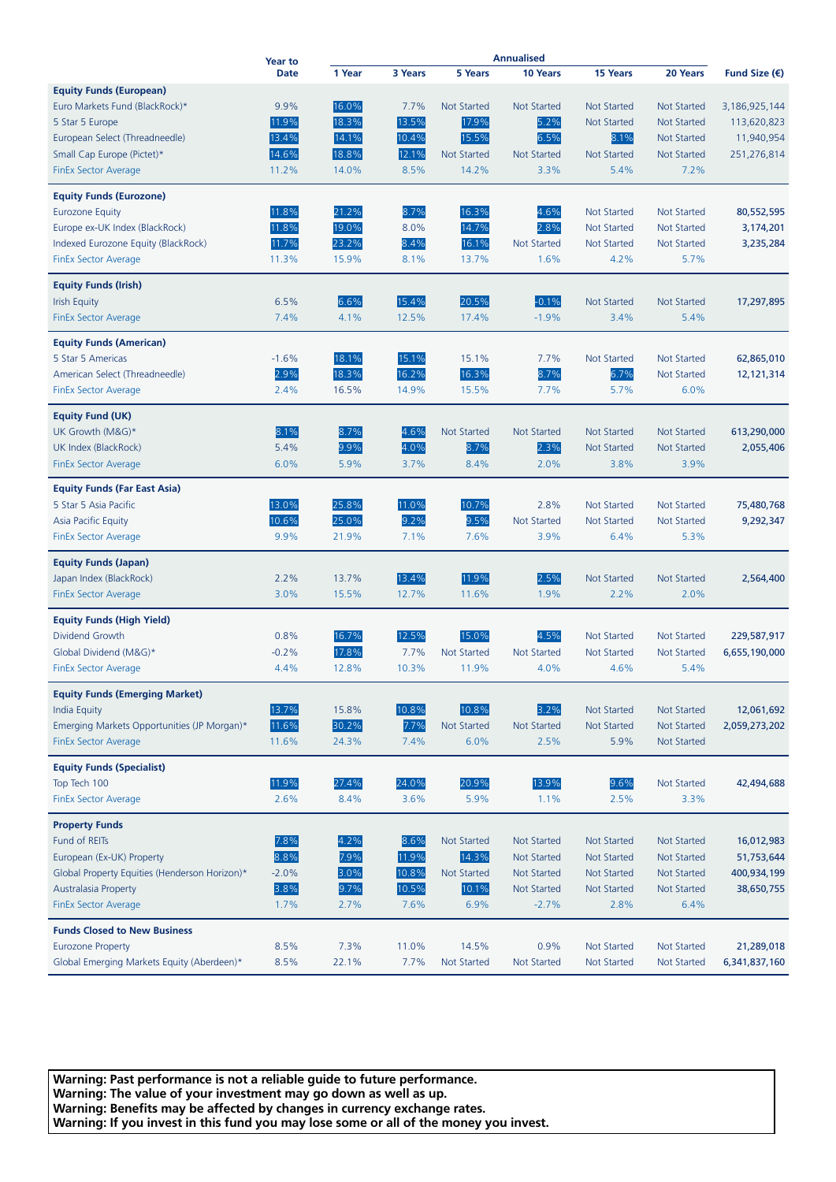|                                               | <b>Year to</b> |        |         | Annualised         |                    |                    |                    |                        |
|-----------------------------------------------|----------------|--------|---------|--------------------|--------------------|--------------------|--------------------|------------------------|
|                                               | <b>Date</b>    | 1 Year | 3 Years | 5 Years            | 10 Years           | 15 Years           | 20 Years           | Fund Size $(\epsilon)$ |
| <b>Equity Funds (European)</b>                |                |        |         |                    |                    |                    |                    |                        |
| Euro Markets Fund (BlackRock)*                | 9.9%           | 16.0%  | 7.7%    | <b>Not Started</b> | <b>Not Started</b> | <b>Not Started</b> | <b>Not Started</b> | 3,186,925,144          |
| 5 Star 5 Europe                               | 11.9%          | 18.3%  | 13.5%   | 17.9%              | 5.2%               | <b>Not Started</b> | <b>Not Started</b> | 113,620,823            |
| European Select (Threadneedle)                | 13.4%          | 14.1%  | 10.4%   | 15.5%              | 6.5%               | 8.1%               | <b>Not Started</b> | 11,940,954             |
| Small Cap Europe (Pictet)*                    | 14.6%          | 18.8%  | 12.1%   | <b>Not Started</b> | <b>Not Started</b> | <b>Not Started</b> | <b>Not Started</b> | 251,276,814            |
| <b>FinEx Sector Average</b>                   | 11.2%          | 14.0%  | 8.5%    | 14.2%              | 3.3%               | 5.4%               | 7.2%               |                        |
| <b>Equity Funds (Eurozone)</b>                |                |        |         |                    |                    |                    |                    |                        |
| <b>Eurozone Equity</b>                        | 11.8%          | 21.2%  | 8.7%    | 16.3%              | 4.6%               | <b>Not Started</b> | <b>Not Started</b> | 80,552,595             |
| Europe ex-UK Index (BlackRock)                | 11.8%          | 19.0%  | 8.0%    | 14.7%              | 2.8%               | <b>Not Started</b> | <b>Not Started</b> | 3,174,201              |
| Indexed Eurozone Equity (BlackRock)           | 11.7%          | 23.2%  | 8.4%    | 16.1%              | <b>Not Started</b> | <b>Not Started</b> | <b>Not Started</b> | 3,235,284              |
| <b>FinEx Sector Average</b>                   | 11.3%          | 15.9%  | 8.1%    | 13.7%              | 1.6%               | 4.2%               | 5.7%               |                        |
| <b>Equity Funds (Irish)</b>                   |                |        |         |                    |                    |                    |                    |                        |
| <b>Irish Equity</b>                           | 6.5%           | 6.6%   | 15.4%   | 20.5%              | $-0.1%$            | <b>Not Started</b> | <b>Not Started</b> | 17,297,895             |
| <b>FinEx Sector Average</b>                   | 7.4%           | 4.1%   | 12.5%   | 17.4%              | $-1.9%$            | 3.4%               | 5.4%               |                        |
| <b>Equity Funds (American)</b>                |                |        |         |                    |                    |                    |                    |                        |
| 5 Star 5 Americas                             | $-1.6%$        | 18.1%  | 15.1%   | 15.1%              | 7.7%               | <b>Not Started</b> | <b>Not Started</b> | 62,865,010             |
| American Select (Threadneedle)                | 2.9%           | 18.3%  | 16.2%   | 16.3%              | 8.7%               | 6.7%               | <b>Not Started</b> | 12,121,314             |
| FinEx Sector Average                          | 2.4%           | 16.5%  | 14.9%   | 15.5%              | 7.7%               | 5.7%               | 6.0%               |                        |
| Equity Fund (UK)                              |                |        |         |                    |                    |                    |                    |                        |
| UK Growth (M&G)*                              | 8.1%           | 8.7%   | 4.6%    | <b>Not Started</b> | <b>Not Started</b> | <b>Not Started</b> | <b>Not Started</b> | 613,290,000            |
| UK Index (BlackRock)                          | 5.4%           | 9.9%   | 4.0%    | 8.7%               | 2.3%               | <b>Not Started</b> | <b>Not Started</b> | 2,055,406              |
| <b>FinEx Sector Average</b>                   | 6.0%           | 5.9%   | 3.7%    | 8.4%               | 2.0%               | 3.8%               | 3.9%               |                        |
| <b>Equity Funds (Far East Asia)</b>           |                |        |         |                    |                    |                    |                    |                        |
| 5 Star 5 Asia Pacific                         | 13.0%          | 25.8%  | 11.0%   | 10.7%              | 2.8%               | <b>Not Started</b> | <b>Not Started</b> | 75,480,768             |
| Asia Pacific Equity                           | 10.6%          | 25.0%  | 9.2%    | 9.5%               | <b>Not Started</b> | <b>Not Started</b> | <b>Not Started</b> | 9,292,347              |
| <b>FinEx Sector Average</b>                   | 9.9%           | 21.9%  | 7.1%    | 7.6%               | 3.9%               | 6.4%               | 5.3%               |                        |
| <b>Equity Funds (Japan)</b>                   |                |        |         |                    |                    |                    |                    |                        |
| Japan Index (BlackRock)                       | 2.2%           | 13.7%  | 13.4%   | 11.9%              | 2.5%               | <b>Not Started</b> | <b>Not Started</b> | 2,564,400              |
| <b>FinEx Sector Average</b>                   | 3.0%           | 15.5%  | 12.7%   | 11.6%              | 1.9%               | 2.2%               | 2.0%               |                        |
| <b>Equity Funds (High Yield)</b>              |                |        |         |                    |                    |                    |                    |                        |
| Dividend Growth                               | 0.8%           | 16.7%  | 12.5%   | 15.0%              | 4.5%               | <b>Not Started</b> | <b>Not Started</b> | 229,587,917            |
| Global Dividend (M&G)*                        | $-0.2%$        | 17.8%  | 7.7%    | <b>Not Started</b> | <b>Not Started</b> | <b>Not Started</b> | <b>Not Started</b> | 6,655,190,000          |
| FinEx Sector Average                          | 4.4%           | 12.8%  | 10.3%   | 11.9%              | 4.0%               | 4.6%               | 5.4%               |                        |
| <b>Equity Funds (Emerging Market)</b>         |                |        |         |                    |                    |                    |                    |                        |
| <b>India Equity</b>                           | 13.7%          | 15.8%  | 10.8%   | 10.8%              | 3.2%               | <b>Not Started</b> | Not Started        | 12,061,692             |
| Emerging Markets Opportunities (JP Morgan)*   | 11.6%          | 30.2%  | 7.7%    | Not Started        | <b>Not Started</b> | <b>Not Started</b> | <b>Not Started</b> | 2,059,273,202          |
| <b>FinEx Sector Average</b>                   | 11.6%          | 24.3%  | 7.4%    | 6.0%               | 2.5%               | 5.9%               | Not Started        |                        |
| <b>Equity Funds (Specialist)</b>              |                |        |         |                    |                    |                    |                    |                        |
| Top Tech 100                                  | 11.9%          | 27.4%  | 24.0%   | 20.9%              | 13.9%              | 9.6%               | <b>Not Started</b> | 42,494,688             |
| <b>FinEx Sector Average</b>                   | 2.6%           | 8.4%   | 3.6%    | 5.9%               | 1.1%               | 2.5%               | 3.3%               |                        |
| <b>Property Funds</b>                         |                |        |         |                    |                    |                    |                    |                        |
| Fund of REITs                                 | 7.8%           | 4.2%   | 8.6%    | Not Started        | <b>Not Started</b> | <b>Not Started</b> | <b>Not Started</b> | 16,012,983             |
| European (Ex-UK) Property                     | 8.8%           | 7.9%   | 11.9%   | 14.3%              | <b>Not Started</b> | Not Started        | <b>Not Started</b> | 51,753,644             |
| Global Property Equities (Henderson Horizon)* | $-2.0%$        | 3.0%   | 10.8%   | Not Started        | <b>Not Started</b> | <b>Not Started</b> | <b>Not Started</b> | 400,934,199            |
| Australasia Property                          | 3.8%           | 9.7%   | 10.5%   | 10.1%              | <b>Not Started</b> | Not Started        | <b>Not Started</b> | 38,650,755             |
| FinEx Sector Average                          | 1.7%           | 2.7%   | 7.6%    | 6.9%               | $-2.7%$            | 2.8%               | 6.4%               |                        |
| <b>Funds Closed to New Business</b>           |                |        |         |                    |                    |                    |                    |                        |
| <b>Eurozone Property</b>                      | 8.5%           | 7.3%   | 11.0%   | 14.5%              | 0.9%               | <b>Not Started</b> | Not Started        | 21,289,018             |
| Global Emerging Markets Equity (Aberdeen)*    | 8.5%           | 22.1%  | 7.7%    | Not Started        | <b>Not Started</b> | <b>Not Started</b> | <b>Not Started</b> | 6,341,837,160          |

**Warning: Past performance is not a reliable guide to future performance. Warning: The value of your investment may go down as well as up. Warning: Benefits may be affected by changes in currency exchange rates. Warning: If you invest in this fund you may lose some or all of the money you invest.**